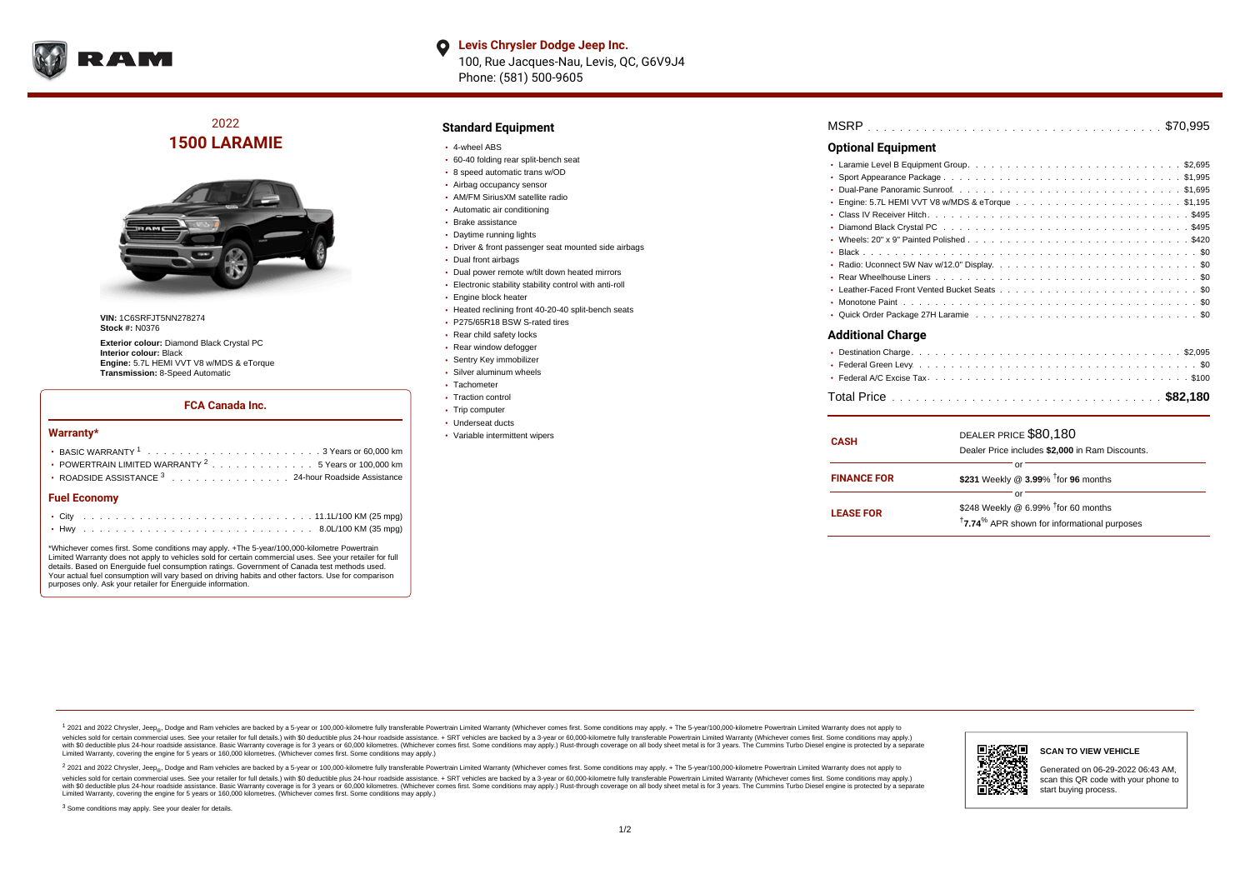

**Levis Chrysler Dodge Jeep Inc.**  $\bullet$ 100, Rue Jacques-Nau, Levis, QC, G6V9J4 Phone: (581) 500-9605

2022 **1500 LARAMIE**



**VIN:** 1C6SRFJT5NN278274 **Stock #:** N0376

**Exterior colour:** Diamond Black Crystal PC **Interior colour:** Black **Engine:** 5.7L HEMI VVT V8 w/MDS & eTorque **Transmission:** 8-Speed Automatic

### **FCA Canada Inc.**

#### **Warranty\***

| <b>Fuel Economy</b>                                                                      |  |  |  |  |  |
|------------------------------------------------------------------------------------------|--|--|--|--|--|
| ROADSIDE ASSISTANCE <sup>3</sup> 24-hour Roadside Assistance                             |  |  |  |  |  |
| • POWERTRAIN LIMITED WARRANTY $2, \ldots, \ldots, \ldots, \ldots, 5$ Years or 100,000 km |  |  |  |  |  |
|                                                                                          |  |  |  |  |  |
|                                                                                          |  |  |  |  |  |

\*Whichever comes first. Some conditions may apply. +The 5-year/100,000-kilometre Powertrain Limited Warranty does not apply to vehicles sold for certain commercial uses. See your retailer for full details. Based on Energuide fuel consumption ratings. Government of Canada test methods used. Your actual fuel consumption will vary based on driving habits and other factors. Use for comparison purposes only. Ask your retailer for Energuide information.

### **Standard Equipment**

- 4-wheel ABS
- 60-40 folding rear split-bench seat
- 8 speed automatic trans w/OD
- Airbag occupancy sensor
- AM/FM SiriusXM satellite radio Automatic air conditioning
- Brake assistance
- 
- Daytime running lights Driver & front passenger seat mounted side airbags
- Dual front airbags
- Dual power remote w/tilt down heated mirrors
- Electronic stability stability control with anti-roll
- Engine block heater
- Heated reclining front 40-20-40 split-bench seats
- P275/65R18 BSW S-rated tires
- Rear child safety locks
- Rear window defogger
- Sentry Key immobilizer
- Silver aluminum wheels
- Tachometer
- Traction control
- Trip computer
- Underseat ducts
- Variable intermittent wipers

## . . . . . . . . . . . . . . . . . . . . . . . . . . . . . . . . . . . . . . . . . . . . . . MSRP \$70,995

### **Optional Equipment**

| Additional Charge |
|-------------------|

| <b>CASH</b>        | DEALER PRICE \$80,180<br>Dealer Price includes \$2,000 in Ram Discounts.                                                       |
|--------------------|--------------------------------------------------------------------------------------------------------------------------------|
| <b>FINANCE FOR</b> | or<br>\$231 Weekly @ 3.99% <sup>t</sup> for 96 months                                                                          |
| <b>LEASE FOR</b>   | റ്റ്<br>\$248 Weekly @ 6.99% <sup>t</sup> for 60 months<br><sup>†</sup> 7.74 <sup>%</sup> APR shown for informational purposes |

<sup>1</sup> 2021 and 2022 Chrysler, Jeep<sub>®</sub>, Dodge and Ram vehicles are backed by a 5-year or 100,000-kilometre fully transferable Powertrain Limited Warranty (Whichever comes first. Some conditions may apply. + The 5-year/100,000 vehicles sold for certain commercial uses. See your retailer for full details.) with \$0 deductible plus 24 hour roadside assistance. + SRT vehicles are backed by a 3-year or 60,000-kilometre fully transferable Powertrain L versus and contract the mean of the contract of the contract with a contract with a contract the contract of the contract of the contract the contract of the contract of the contract of the contract of the contract of the Limited Warranty, covering the engine for 5 years or 160,000 kilometres. (Whichever comes first. Some conditions may apply.)

2 2021 and 2022 Chrysler, Jeep<sub>®</sub>, Dodge and Ram vehicles are backed by a 5-year or 100,000-kilometre fully transferable Powertrain Limited Warranty (Whichever comes first. Some conditions may apply. + The 5-year/100,000-k vehicles sold for certain commercial uses. See your retailer for full details.) with SO deductible plus 24-hour roadside assistance. + SRT vehicles are backed by a 3-year or 60.000-kilometre fully transferable Powertrain L with S0 deductible plus 24-hour roadside assistance. Basic Warranty coverage is for 3 years or 60,000 kilometres. (Whichever comes first. Some conditions may apply.) Rust-through coverage on all body sheet metal is for 3 y



**SCAN TO VIEW VEHICLE**

Generated on 06-29-2022 06:43 AM, scan this QR code with your phone to start buying process.

<sup>3</sup> Some conditions may apply. See your dealer for details.